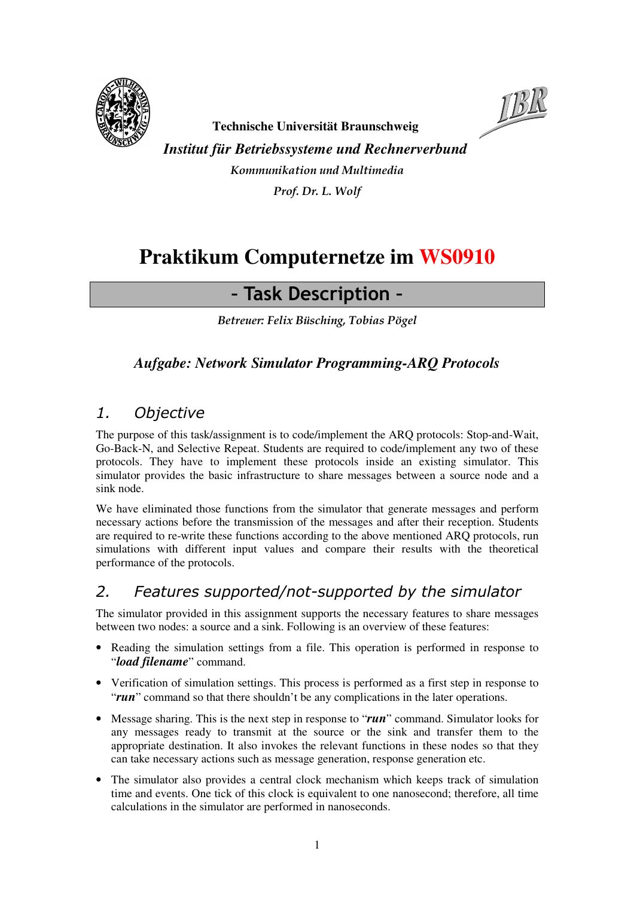



**Technische Universität Braunschweig** 

*Institut für Betriebssysteme und Rechnerverbund* 

Kommunikation und Multimedia Prof. Dr. L. Wolf

# **Praktikum Computernetze im WS0910**

# – Task Description –

Betreuer: Felix Büsching, Tobias Pögel

### *Aufgabe: Network Simulator Programming-ARQ Protocols*

### 1. Objective

The purpose of this task/assignment is to code/implement the ARQ protocols: Stop-and-Wait, Go-Back-N, and Selective Repeat. Students are required to code/implement any two of these protocols. They have to implement these protocols inside an existing simulator. This simulator provides the basic infrastructure to share messages between a source node and a sink node.

We have eliminated those functions from the simulator that generate messages and perform necessary actions before the transmission of the messages and after their reception. Students are required to re-write these functions according to the above mentioned ARQ protocols, run simulations with different input values and compare their results with the theoretical performance of the protocols.

### 2. Features supported/not-supported by the simulator

The simulator provided in this assignment supports the necessary features to share messages between two nodes: a source and a sink. Following is an overview of these features:

- Reading the simulation settings from a file. This operation is performed in response to "*load filename*" command.
- Verification of simulation settings. This process is performed as a first step in response to "*run*" command so that there shouldn't be any complications in the later operations.
- Message sharing. This is the next step in response to "*run*" command. Simulator looks for any messages ready to transmit at the source or the sink and transfer them to the appropriate destination. It also invokes the relevant functions in these nodes so that they can take necessary actions such as message generation, response generation etc.
- The simulator also provides a central clock mechanism which keeps track of simulation time and events. One tick of this clock is equivalent to one nanosecond; therefore, all time calculations in the simulator are performed in nanoseconds.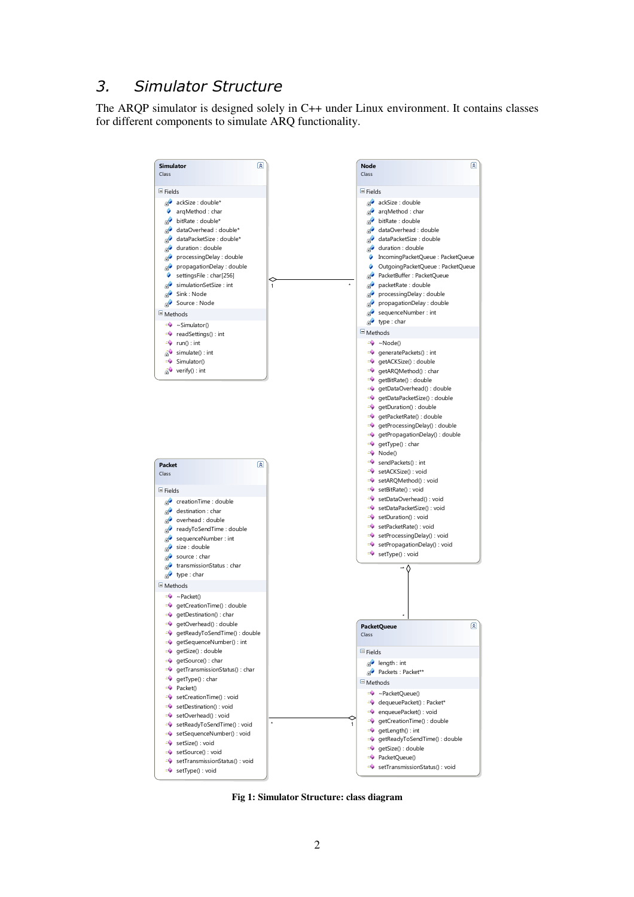### 3. Simulator Structure

The ARQP simulator is designed solely in C++ under Linux environment. It contains classes for different components to simulate ARQ functionality.



**Fig 1: Simulator Structure: class diagram**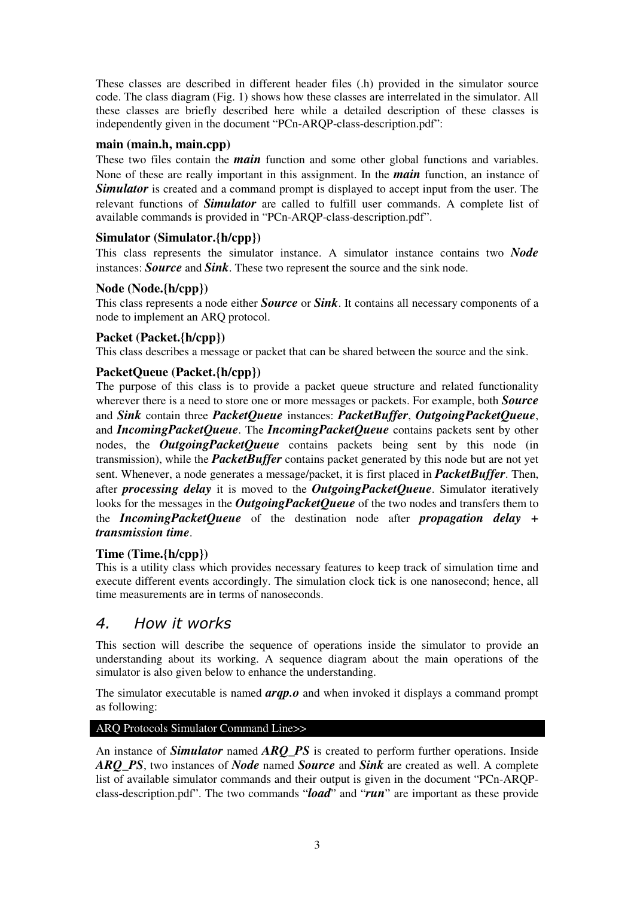These classes are described in different header files (.h) provided in the simulator source code. The class diagram (Fig. 1) shows how these classes are interrelated in the simulator. All these classes are briefly described here while a detailed description of these classes is independently given in the document "PCn-ARQP-class-description.pdf":

#### **main (main.h, main.cpp)**

These two files contain the *main* function and some other global functions and variables. None of these are really important in this assignment. In the *main* function, an instance of **Simulator** is created and a command prompt is displayed to accept input from the user. The relevant functions of *Simulator* are called to fulfill user commands. A complete list of available commands is provided in "PCn-ARQP-class-description.pdf".

#### **Simulator (Simulator.{h/cpp})**

This class represents the simulator instance. A simulator instance contains two *Node* instances: *Source* and *Sink*. These two represent the source and the sink node.

#### **Node (Node.{h/cpp})**

This class represents a node either *Source* or *Sink*. It contains all necessary components of a node to implement an ARQ protocol.

#### **Packet (Packet.{h/cpp})**

This class describes a message or packet that can be shared between the source and the sink.

#### **PacketQueue (Packet.{h/cpp})**

The purpose of this class is to provide a packet queue structure and related functionality wherever there is a need to store one or more messages or packets. For example, both *Source* and *Sink* contain three *PacketQueue* instances: *PacketBuffer*, *OutgoingPacketQueue*, and *IncomingPacketQueue*. The *IncomingPacketQueue* contains packets sent by other nodes, the *OutgoingPacketQueue* contains packets being sent by this node (in transmission), while the *PacketBuffer* contains packet generated by this node but are not yet sent. Whenever, a node generates a message/packet, it is first placed in *PacketBuffer*. Then, after *processing delay* it is moved to the *OutgoingPacketQueue*. Simulator iteratively looks for the messages in the *OutgoingPacketQueue* of the two nodes and transfers them to the *IncomingPacketQueue* of the destination node after *propagation delay + transmission time*.

#### **Time (Time.{h/cpp})**

This is a utility class which provides necessary features to keep track of simulation time and execute different events accordingly. The simulation clock tick is one nanosecond; hence, all time measurements are in terms of nanoseconds.

#### 4. How it works

This section will describe the sequence of operations inside the simulator to provide an understanding about its working. A sequence diagram about the main operations of the simulator is also given below to enhance the understanding.

The simulator executable is named *arqp.o* and when invoked it displays a command prompt as following:

#### ARQ Protocols Simulator Command Line>>

An instance of *Simulator* named *ARQ\_PS* is created to perform further operations. Inside *ARQ\_PS*, two instances of *Node* named *Source* and *Sink* are created as well. A complete list of available simulator commands and their output is given in the document "PCn-ARQPclass-description.pdf". The two commands "*load*" and "*run*" are important as these provide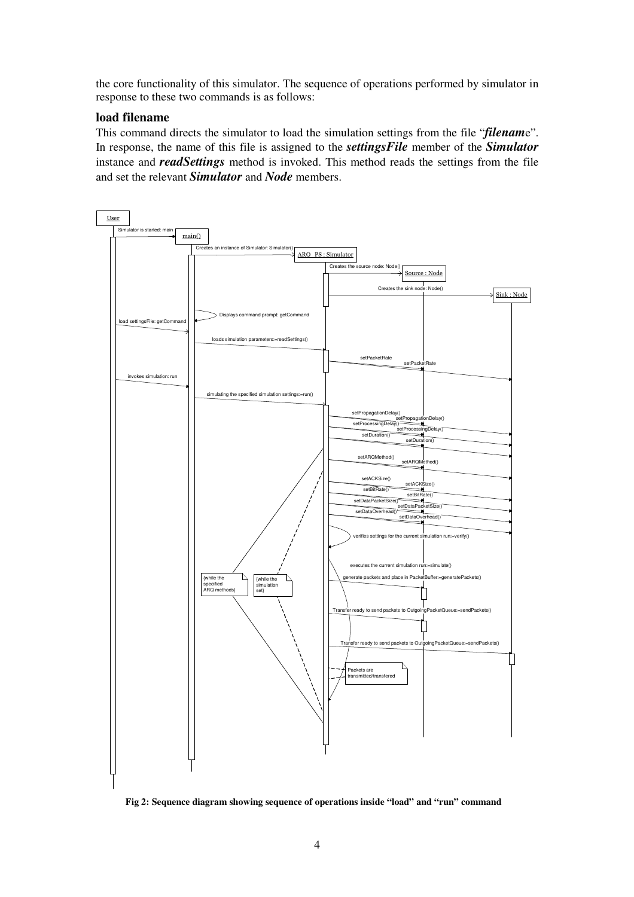the core functionality of this simulator. The sequence of operations performed by simulator in response to these two commands is as follows:

#### **load filename**

This command directs the simulator to load the simulation settings from the file "*filenam*e". In response, the name of this file is assigned to the *settingsFile* member of the *Simulator* instance and *readSettings* method is invoked. This method reads the settings from the file and set the relevant *Simulator* and *Node* members.



**Fig 2: Sequence diagram showing sequence of operations inside "load" and "run" command**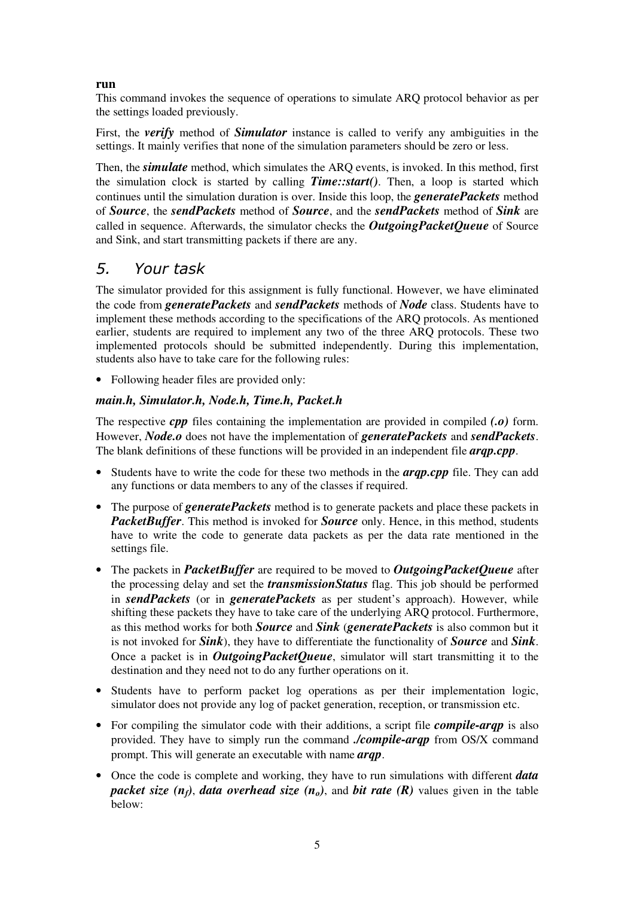#### **run**

This command invokes the sequence of operations to simulate ARQ protocol behavior as per the settings loaded previously.

First, the *verify* method of *Simulator* instance is called to verify any ambiguities in the settings. It mainly verifies that none of the simulation parameters should be zero or less.

Then, the *simulate* method, which simulates the ARQ events, is invoked. In this method, first the simulation clock is started by calling *Time::start()*. Then, a loop is started which continues until the simulation duration is over. Inside this loop, the *generatePackets* method of *Source*, the *sendPackets* method of *Source*, and the *sendPackets* method of *Sink* are called in sequence. Afterwards, the simulator checks the *OutgoingPacketQueue* of Source and Sink, and start transmitting packets if there are any.

### 5. Your task

The simulator provided for this assignment is fully functional. However, we have eliminated the code from *generatePackets* and *sendPackets* methods of *Node* class. Students have to implement these methods according to the specifications of the ARQ protocols. As mentioned earlier, students are required to implement any two of the three ARQ protocols. These two implemented protocols should be submitted independently. During this implementation, students also have to take care for the following rules:

• Following header files are provided only:

#### *main.h, Simulator.h, Node.h, Time.h, Packet.h*

The respective *cpp* files containing the implementation are provided in compiled *(.o)* form. However, *Node.o* does not have the implementation of *generatePackets* and *sendPackets*. The blank definitions of these functions will be provided in an independent file *arqp.cpp*.

- Students have to write the code for these two methods in the *arqp.cpp* file. They can add any functions or data members to any of the classes if required.
- The purpose of *generatePackets* method is to generate packets and place these packets in *PacketBuffer*. This method is invoked for *Source* only. Hence, in this method, students have to write the code to generate data packets as per the data rate mentioned in the settings file.
- The packets in *PacketBuffer* are required to be moved to *OutgoingPacketQueue* after the processing delay and set the *transmissionStatus* flag. This job should be performed in *sendPackets* (or in *generatePackets* as per student's approach). However, while shifting these packets they have to take care of the underlying ARQ protocol. Furthermore, as this method works for both *Source* and *Sink* (*generatePackets* is also common but it is not invoked for *Sink*), they have to differentiate the functionality of *Source* and *Sink*. Once a packet is in *OutgoingPacketQueue*, simulator will start transmitting it to the destination and they need not to do any further operations on it.
- Students have to perform packet log operations as per their implementation logic, simulator does not provide any log of packet generation, reception, or transmission etc.
- For compiling the simulator code with their additions, a script file *compile-arqp* is also provided. They have to simply run the command *./compile-arqp* from OS/X command prompt. This will generate an executable with name *arqp*.
- Once the code is complete and working, they have to run simulations with different *data packet size*  $(n_f)$ , *data overhead size*  $(n_o)$ , and *bit rate*  $(R)$  values given in the table below: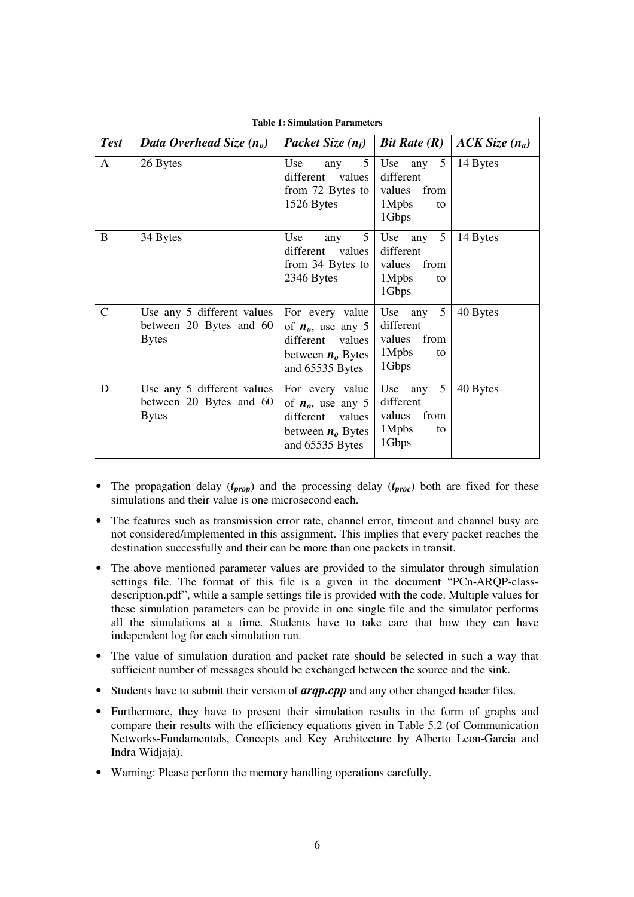| <b>Table 1: Simulation Parameters</b> |                                                                       |                                                                                                         |                                                                                  |                 |
|---------------------------------------|-----------------------------------------------------------------------|---------------------------------------------------------------------------------------------------------|----------------------------------------------------------------------------------|-----------------|
| <b>Test</b>                           | Data Overhead Size $(n_o)$                                            | <b>Packet Size</b> $(n_f)$                                                                              | Bit Rate $(R)$                                                                   | $ACK Size(n_a)$ |
| $\mathsf{A}$                          | 26 Bytes                                                              | Use<br>5 <sup>5</sup><br>any<br>different values<br>from 72 Bytes to<br>1526 Bytes                      | $\overline{5}$<br>Use<br>any<br>different<br>values from<br>1Mpbs<br>to<br>1Gbps | 14 Bytes        |
| B                                     | 34 Bytes                                                              | 5 <sup>5</sup><br>Use<br>any<br>different values<br>from 34 Bytes to<br>2346 Bytes                      | 5<br>Use any<br>different<br>values from<br>1Mpbs<br>to<br>1Gbps                 | 14 Bytes        |
| $\mathcal{C}$                         | Use any 5 different values<br>between 20 Bytes and 60<br><b>Bytes</b> | For every value<br>of $n_0$ , use any 5<br>different values<br>between $no$ Bytes<br>and 65535 Bytes    | 5 <sup>1</sup><br>Use any<br>different<br>values from<br>$1M$ pbs<br>to<br>1Gbps | 40 Bytes        |
| D                                     | Use any 5 different values<br>between 20 Bytes and 60<br><b>Bytes</b> | For every value<br>of $n_0$ , use any 5<br>different<br>values<br>between $no$ Bytes<br>and 65535 Bytes | $\mathfrak{S}$<br>Use any<br>different<br>values from<br>1Mpbs<br>to<br>1Gbps    | 40 Bytes        |

- The propagation delay (*tprop*) and the processing delay (*tproc*) both are fixed for these simulations and their value is one microsecond each.
- The features such as transmission error rate, channel error, timeout and channel busy are not considered/implemented in this assignment. This implies that every packet reaches the destination successfully and their can be more than one packets in transit.
- The above mentioned parameter values are provided to the simulator through simulation settings file. The format of this file is a given in the document "PCn-ARQP-classdescription.pdf", while a sample settings file is provided with the code. Multiple values for these simulation parameters can be provide in one single file and the simulator performs all the simulations at a time. Students have to take care that how they can have independent log for each simulation run.
- The value of simulation duration and packet rate should be selected in such a way that sufficient number of messages should be exchanged between the source and the sink.
- Students have to submit their version of *arqp.cpp* and any other changed header files.
- Furthermore, they have to present their simulation results in the form of graphs and compare their results with the efficiency equations given in Table 5.2 (of Communication Networks-Fundamentals, Concepts and Key Architecture by Alberto Leon-Garcia and Indra Widjaja).
- Warning: Please perform the memory handling operations carefully.